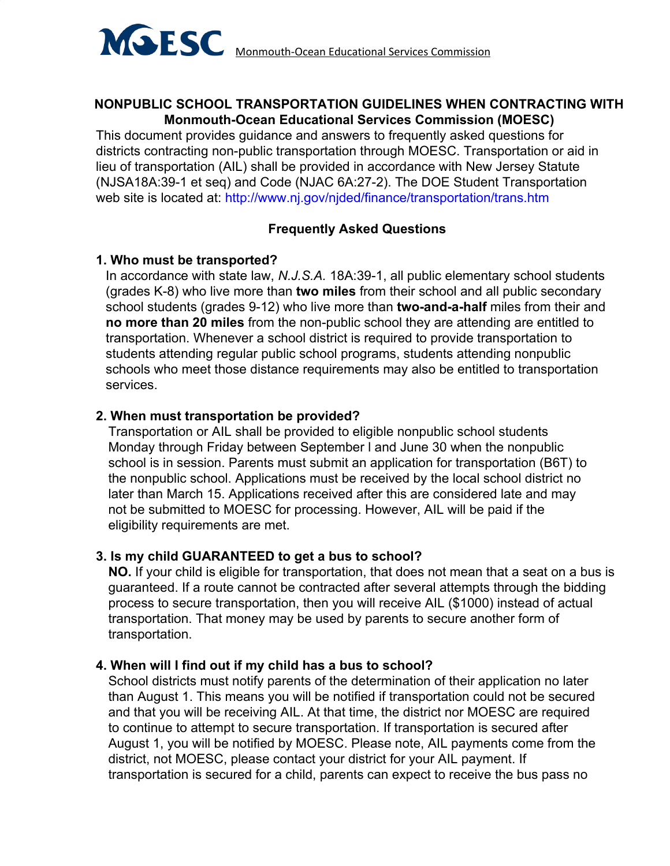

### **NONPUBLIC SCHOOL TRANSPORTATION GUIDELINES WHEN CONTRACTING WITH Monmouth-Ocean Educational Services Commission (MOESC)**

This document provides guidance and answers to frequently asked questions for districts contracting non-public transportation through MOESC. Transportation or aid in lieu of transportation (AIL) shall be provided in accordance with New Jersey Statute (NJSA18A:39-1 et seq) and Code (NJAC 6A:27-2). The DOE Student Transportation web site is located at: http://www.nj.gov/njded/finance/transportation/trans.htm

# **Frequently Asked Questions**

## **1. Who must be transported?**

In accordance with state law, *N.J.S.A.* 18A:39-1, all public elementary school students (grades K-8) who live more than **two miles** from their school and all public secondary school students (grades 9-12) who live more than **two-and-a-half** miles from their and **no more than 20 miles** from the non-public school they are attending are entitled to transportation. Whenever a school district is required to provide transportation to students attending regular public school programs, students attending nonpublic schools who meet those distance requirements may also be entitled to transportation services.

## **2. When must transportation be provided?**

Transportation or AIL shall be provided to eligible nonpublic school students Monday through Friday between September l and June 30 when the nonpublic school is in session. Parents must submit an application for transportation (B6T) to the nonpublic school. Applications must be received by the local school district no later than March 15. Applications received after this are considered late and may not be submitted to MOESC for processing. However, AIL will be paid if the eligibility requirements are met.

# **3. Is my child GUARANTEED to get a bus to school?**

**NO.** If your child is eligible for transportation, that does not mean that a seat on a bus is guaranteed. If a route cannot be contracted after several attempts through the bidding process to secure transportation, then you will receive AIL (\$1000) instead of actual transportation. That money may be used by parents to secure another form of transportation.

#### **4. When will I find out if my child has a bus to school?**

School districts must notify parents of the determination of their application no later than August 1. This means you will be notified if transportation could not be secured and that you will be receiving AIL. At that time, the district nor MOESC are required to continue to attempt to secure transportation. If transportation is secured after August 1, you will be notified by MOESC. Please note, AIL payments come from the district, not MOESC, please contact your district for your AIL payment. If transportation is secured for a child, parents can expect to receive the bus pass no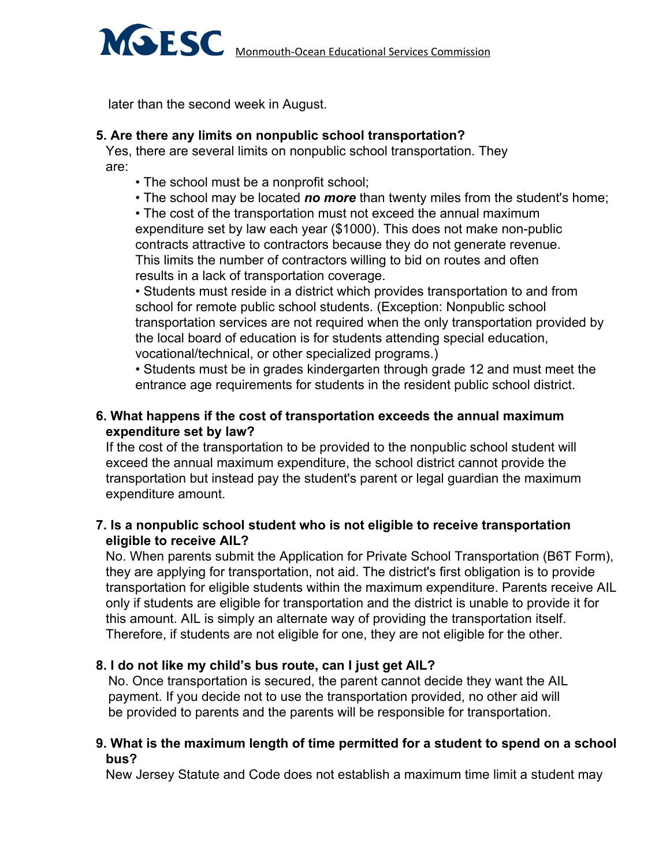

later than the second week in August.

#### **5. Are there any limits on nonpublic school transportation?**

Yes, there are several limits on nonpublic school transportation. They are:

- The school must be a nonprofit school;
- The school may be located *no more* than twenty miles from the student's home;

• The cost of the transportation must not exceed the annual maximum expenditure set by law each year (\$1000). This does not make non-public contracts attractive to contractors because they do not generate revenue. This limits the number of contractors willing to bid on routes and often results in a lack of transportation coverage.

• Students must reside in a district which provides transportation to and from school for remote public school students. (Exception: Nonpublic school transportation services are not required when the only transportation provided by the local board of education is for students attending special education, vocational/technical, or other specialized programs.)

• Students must be in grades kindergarten through grade 12 and must meet the entrance age requirements for students in the resident public school district.

## **6. What happens if the cost of transportation exceeds the annual maximum expenditure set by law?**

If the cost of the transportation to be provided to the nonpublic school student will exceed the annual maximum expenditure, the school district cannot provide the transportation but instead pay the student's parent or legal guardian the maximum expenditure amount.

## **7. Is a nonpublic school student who is not eligible to receive transportation eligible to receive AIL?**

No. When parents submit the Application for Private School Transportation (B6T Form), they are applying for transportation, not aid. The district's first obligation is to provide transportation for eligible students within the maximum expenditure. Parents receive AIL only if students are eligible for transportation and the district is unable to provide it for this amount. AIL is simply an alternate way of providing the transportation itself. Therefore, if students are not eligible for one, they are not eligible for the other.

#### **8. I do not like my child's bus route, can I just get AIL?**

No. Once transportation is secured, the parent cannot decide they want the AIL payment. If you decide not to use the transportation provided, no other aid will be provided to parents and the parents will be responsible for transportation.

#### **9. What is the maximum length of time permitted for a student to spend on a school bus?**

New Jersey Statute and Code does not establish a maximum time limit a student may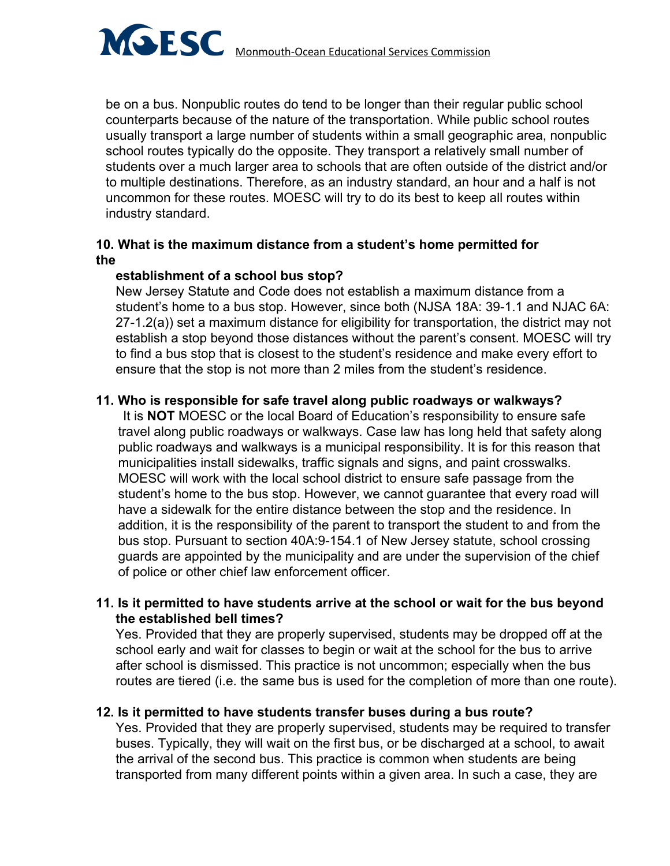

usually transport a large number of students within a small geographic area, nonpublic school routes typically do the opposite. They transport a relatively small number of students over a much larger area to schools that are often outside of the district and/or to multiple destinations. Therefore, as an industry standard, an hour and a half is not uncommon for these routes. MOESC will try to do its best to keep all routes within industry standard.

## **10. What is the maximum distance from a student's home permitted for the**

## **establishment of a school bus stop?**

New Jersey Statute and Code does not establish a maximum distance from a student's home to a bus stop. However, since both (NJSA 18A: 39-1.1 and NJAC 6A: 27-1.2(a)) set a maximum distance for eligibility for transportation, the district may not establish a stop beyond those distances without the parent's consent. MOESC will try to find a bus stop that is closest to the student's residence and make every effort to ensure that the stop is not more than 2 miles from the student's residence.

# **11. Who is responsible for safe travel along public roadways or walkways?**

It is **NOT** MOESC or the local Board of Education's responsibility to ensure safe travel along public roadways or walkways. Case law has long held that safety along public roadways and walkways is a municipal responsibility. It is for this reason that municipalities install sidewalks, traffic signals and signs, and paint crosswalks. MOESC will work with the local school district to ensure safe passage from the student's home to the bus stop. However, we cannot guarantee that every road will have a sidewalk for the entire distance between the stop and the residence. In addition, it is the responsibility of the parent to transport the student to and from the bus stop. Pursuant to section 40A:9-154.1 of New Jersey statute, school crossing guards are appointed by the municipality and are under the supervision of the chief of police or other chief law enforcement officer.

## **11. Is it permitted to have students arrive at the school or wait for the bus beyond the established bell times?**

Yes. Provided that they are properly supervised, students may be dropped off at the school early and wait for classes to begin or wait at the school for the bus to arrive after school is dismissed. This practice is not uncommon; especially when the bus routes are tiered (i.e. the same bus is used for the completion of more than one route).

# **12. Is it permitted to have students transfer buses during a bus route?**

Yes. Provided that they are properly supervised, students may be required to transfer buses. Typically, they will wait on the first bus, or be discharged at a school, to await the arrival of the second bus. This practice is common when students are being transported from many different points within a given area. In such a case, they are